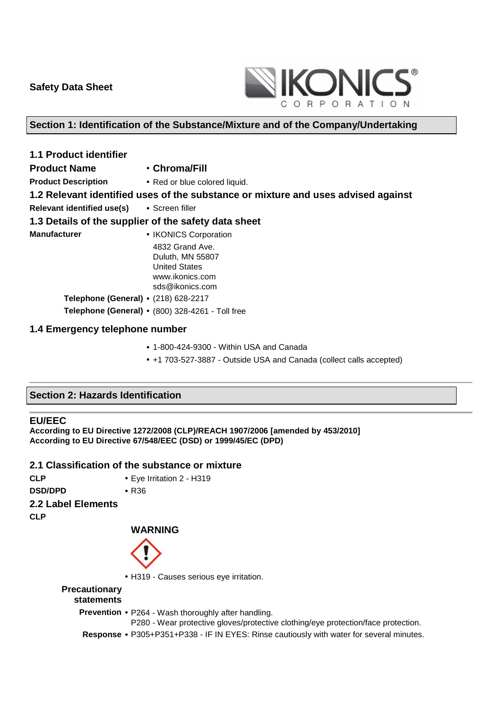

# **Section 1: Identification of the Substance/Mixture and of the Company/Undertaking**

| <b>1.1 Product identifier</b>                                                     |                                                                                                   |  |  |  |
|-----------------------------------------------------------------------------------|---------------------------------------------------------------------------------------------------|--|--|--|
| <b>Product Name</b>                                                               | • Chroma/Fill                                                                                     |  |  |  |
| <b>Product Description</b>                                                        | • Red or blue colored liquid.                                                                     |  |  |  |
| 1.2 Relevant identified uses of the substance or mixture and uses advised against |                                                                                                   |  |  |  |
| Relevant identified use(s)                                                        | • Screen filler                                                                                   |  |  |  |
|                                                                                   | 1.3 Details of the supplier of the safety data sheet                                              |  |  |  |
| <b>Manufacturer</b>                                                               | • IKONICS Corporation                                                                             |  |  |  |
|                                                                                   | 4832 Grand Ave.<br>Duluth, MN 55807<br><b>United States</b><br>www.ikonics.com<br>sds@ikonics.com |  |  |  |
| Telephone (General) • (218) 628-2217                                              |                                                                                                   |  |  |  |
| Telephone (General) • (800) 328-4261 - Toll free                                  |                                                                                                   |  |  |  |
| 1.4 Emergency telephone number                                                    |                                                                                                   |  |  |  |

- 1-800-424-9300 Within USA and Canada
- +1 703-527-3887 Outside USA and Canada (collect calls accepted)

### **Section 2: Hazards Identification**

#### **EU/EEC**

**According to EU Directive 1272/2008 (CLP)/REACH 1907/2006 [amended by 453/2010] According to EU Directive 67/548/EEC (DSD) or 1999/45/EC (DPD)** 

### **2.1 Classification of the substance or mixture**

- 
- **CLP**  Eye Irritation 2 H319
- 
- **DSD/DPD**  R36

**2.2 Label Elements**

**CLP** 

# **WARNING**



• H319 - Causes serious eye irritation.

#### **Precautionary statements**

**Prevention** • P264 - Wash thoroughly after handling.

P280 - Wear protective gloves/protective clothing/eye protection/face protection.

**Response** • P305+P351+P338 - IF IN EYES: Rinse cautiously with water for several minutes.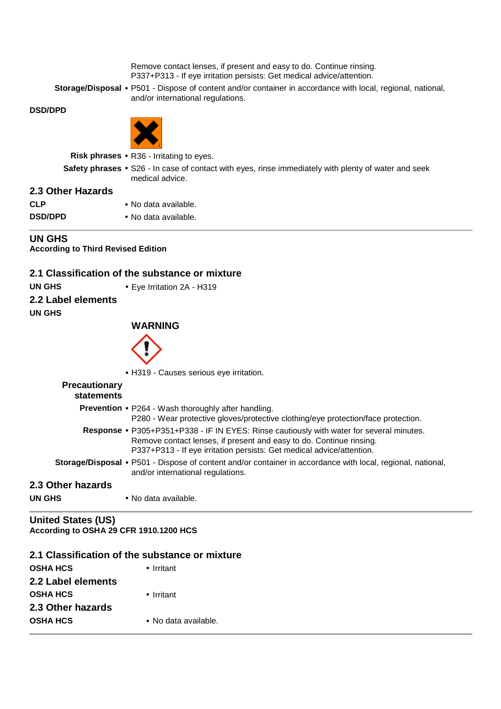Remove contact lenses, if present and easy to do. Continue rinsing. P337+P313 - If eye irritation persists: Get medical advice/attention.

**Storage/Disposal** • P501 - Dispose of content and/or container in accordance with local, regional, national, and/or international regulations.

#### **DSD/DPD**



**Risk phrases** • R36 - Irritating to eyes.

**Safety phrases** • S26 - In case of contact with eyes, rinse immediately with plenty of water and seek medical advice.

#### **2.3 Other Hazards**

**CLP** • No data available.

**DSD/DPD** • No data available.

# **UN GHS According to Third Revised Edition**

### **2.1 Classification of the substance or mixture**

| v.<br>۰. | × |
|----------|---|
|          |   |

**S** • Eye Irritation 2A - H319

- **2.2 Label elements**
- **UN GHS**

# **WARNING**



• H319 - Causes serious eye irritation.

| <b>Precautionary</b><br>statements |                                                                                                                                                                                                                                          |
|------------------------------------|------------------------------------------------------------------------------------------------------------------------------------------------------------------------------------------------------------------------------------------|
|                                    | <b>Prevention •</b> P264 - Wash thoroughly after handling.<br>P280 - Wear protective gloves/protective clothing/eye protection/face protection.                                                                                          |
|                                    | Response • P305+P351+P338 - IF IN EYES: Rinse cautiously with water for several minutes.<br>Remove contact lenses, if present and easy to do. Continue rinsing.<br>P337+P313 - If eye irritation persists: Get medical advice/attention. |
|                                    | Storage/Disposal • P501 - Dispose of content and/or container in accordance with local, regional, national,<br>and/or international regulations.                                                                                         |
| 2.3 Other hazards                  |                                                                                                                                                                                                                                          |
| UN GHS                             | • No data available.                                                                                                                                                                                                                     |

#### **United States (US) According to OSHA 29 CFR 1910.1200 HCS**

# **2.1 Classification of the substance or mixture**

| <b>OSHA HCS</b>    | $\bullet$ Irritant   |
|--------------------|----------------------|
| 2.2 Label elements |                      |
| <b>OSHA HCS</b>    | $\bullet$ Irritant   |
| 2.3 Other hazards  |                      |
| <b>OSHA HCS</b>    | • No data available. |
|                    |                      |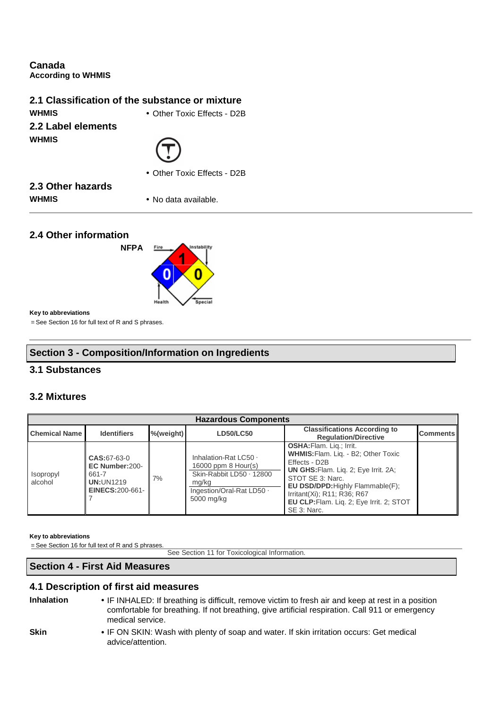## **Canada According to WHMIS**

# **2.1 Classification of the substance or mixture**

**WHMIS** • Other Toxic Effects - D2B **2.2 Label elements WHMIS** 



• Other Toxic Effects - D2B

**2.3 Other hazards**

**WHMIS** • No data available.

# **2.4 Other information**



**Key to abbreviations**

= See Section 16 for full text of R and S phrases.

# **Section 3 - Composition/Information on Ingredients**

### **3.1 Substances**

### **3.2 Mixtures**

|                                    | <b>Hazardous Components</b>                                                           |           |                                                                                                                                  |                                                                                                                                                                                                                                                                                                        |                 |  |
|------------------------------------|---------------------------------------------------------------------------------------|-----------|----------------------------------------------------------------------------------------------------------------------------------|--------------------------------------------------------------------------------------------------------------------------------------------------------------------------------------------------------------------------------------------------------------------------------------------------------|-----------------|--|
| <b>Chemical Name</b>               | <b>Identifiers</b>                                                                    | %(weight) | <b>LD50/LC50</b>                                                                                                                 | <b>Classifications According to</b><br><b>Requlation/Directive</b>                                                                                                                                                                                                                                     | <b>Comments</b> |  |
| <i><b>Isopropyl</b></i><br>alcohol | CAS:67-63-0<br>EC Number:200-<br>661-7<br><b>UN:UN1219</b><br><b>EINECS: 200-661-</b> | 7%        | Inhalation-Rat LC50 ·<br>$16000$ ppm $8$ Hour(s)<br>Skin-Rabbit LD50 · 12800<br>mg/kg<br>Ingestion/Oral-Rat LD50 ·<br>5000 mg/kg | <b>OSHA: Flam. Lig.: Irrit.</b><br><b>WHMIS: Flam. Lig. - B2; Other Toxic</b><br>Effects - D2B<br><b>UN GHS: Flam. Lig. 2: Eye Irrit. 2A:</b><br>STOT SE 3: Narc.<br><b>EU DSD/DPD:</b> Highly Flammable(F);<br>Irritant(Xi); R11; R36; R67<br>EU CLP: Flam. Lig. 2; Eye Irrit. 2; STOT<br>SE 3: Narc. |                 |  |

#### **Key to abbreviations**

= See Section 16 for full text of R and S phrases.

See Section 11 for Toxicological Information.

# **Section 4 - First Aid Measures**

### **4.1 Description of first aid measures**

**Inhalation** • IF INHALED: If breathing is difficult, remove victim to fresh air and keep at rest in a position comfortable for breathing. If not breathing, give artificial respiration. Call 911 or emergency medical service.

**Skin** • IF ON SKIN: Wash with plenty of soap and water. If skin irritation occurs: Get medical advice/attention.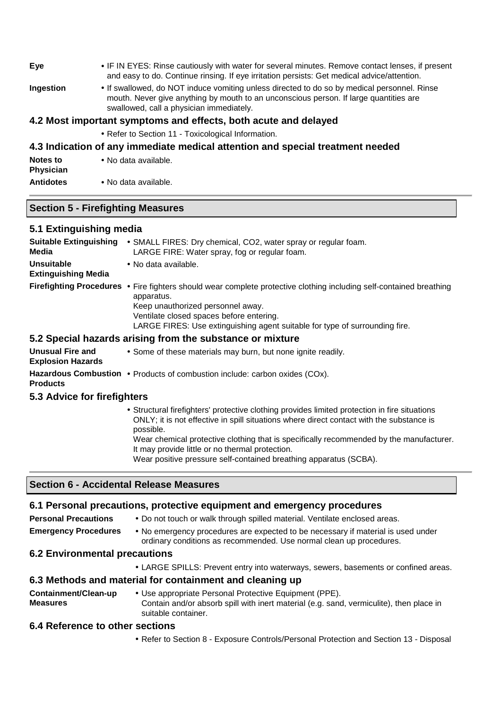- 
- **Eye**  IF IN EYES: Rinse cautiously with water for several minutes. Remove contact lenses, if present and easy to do. Continue rinsing. If eye irritation persists: Get medical advice/attention.
- 
- **Ingestion**  If swallowed, do NOT induce vomiting unless directed to do so by medical personnel. Rinse mouth. Never give anything by mouth to an unconscious person. If large quantities are swallowed, call a physician immediately.

# **4.2 Most important symptoms and effects, both acute and delayed**

• Refer to Section 11 - Toxicological Information.

# **4.3 Indication of any immediate medical attention and special treatment needed**

- **Notes to**  • No data available.
- **Physician Antidotes** • No data available.

# **Section 5 - Firefighting Measures**

### **5.1 Extinguishing media**

| <b>Suitable Extinguishing</b><br>Media              | • SMALL FIRES: Dry chemical, CO2, water spray or regular foam.<br>LARGE FIRE: Water spray, fog or regular foam.                                                                                                                                                                                                                                                                                   |  |  |  |
|-----------------------------------------------------|---------------------------------------------------------------------------------------------------------------------------------------------------------------------------------------------------------------------------------------------------------------------------------------------------------------------------------------------------------------------------------------------------|--|--|--|
| <b>Unsuitable</b><br><b>Extinguishing Media</b>     | • No data available.                                                                                                                                                                                                                                                                                                                                                                              |  |  |  |
|                                                     | Firefighting Procedures • Fire fighters should wear complete protective clothing including self-contained breathing<br>apparatus.<br>Keep unauthorized personnel away.<br>Ventilate closed spaces before entering.<br>LARGE FIRES: Use extinguishing agent suitable for type of surrounding fire.                                                                                                 |  |  |  |
|                                                     | 5.2 Special hazards arising from the substance or mixture                                                                                                                                                                                                                                                                                                                                         |  |  |  |
| <b>Unusual Fire and</b><br><b>Explosion Hazards</b> | • Some of these materials may burn, but none ignite readily.                                                                                                                                                                                                                                                                                                                                      |  |  |  |
| <b>Products</b>                                     | Hazardous Combustion • Products of combustion include: carbon oxides (COx).                                                                                                                                                                                                                                                                                                                       |  |  |  |
| 5.3 Advice for firefighters                         |                                                                                                                                                                                                                                                                                                                                                                                                   |  |  |  |
|                                                     | • Structural firefighters' protective clothing provides limited protection in fire situations<br>ONLY; it is not effective in spill situations where direct contact with the substance is<br>possible.<br>Wear chemical protective clothing that is specifically recommended by the manufacturer.<br>It may provide little or no thermal protection.<br>$\sim$ $\sim$ $\sim$ $\sim$ $\sim$ $\sim$ |  |  |  |

Wear positive pressure self-contained breathing apparatus (SCBA).

### **Section 6 - Accidental Release Measures**

### **6.1 Personal precautions, protective equipment and emergency procedures**

- **Personal Precautions** Do not touch or walk through spilled material. Ventilate enclosed areas.
- **Emergency Procedures**  No emergency procedures are expected to be necessary if material is used under ordinary conditions as recommended. Use normal clean up procedures.

#### **6.2 Environmental precautions**

• LARGE SPILLS: Prevent entry into waterways, sewers, basements or confined areas.

### **6.3 Methods and material for containment and cleaning up**

**Containment/Clean-up Measures**  • Use appropriate Personal Protective Equipment (PPE). Contain and/or absorb spill with inert material (e.g. sand, vermiculite), then place in suitable container.

### **6.4 Reference to other sections**

• Refer to Section 8 - Exposure Controls/Personal Protection and Section 13 - Disposal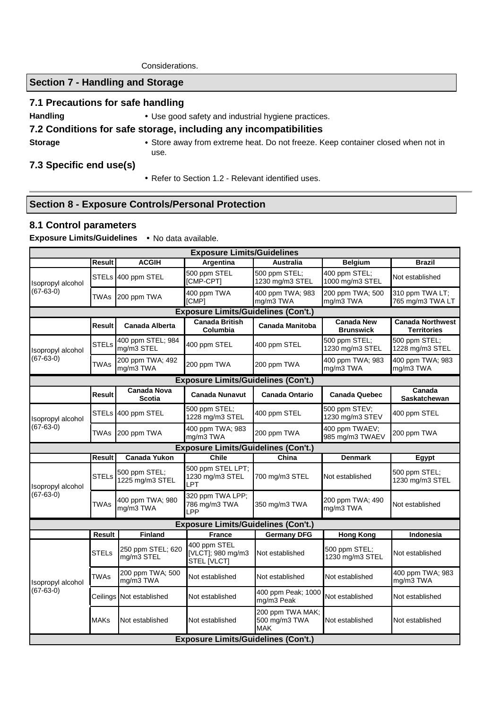Considerations.

# **Section 7 - Handling and Storage**

#### **7.1 Precautions for safe handling**

**Handling** • Use good safety and industrial hygiene practices.

# **7.2 Conditions for safe storage, including any incompatibilities**

- 
- **Storage**  Store away from extreme heat. Do not freeze. Keep container closed when not in use.

# **7.3 Specific end use(s)**

• Refer to Section 1.2 - Relevant identified uses.

# **Section 8 - Exposure Controls/Personal Protection**

### **8.1 Control parameters**

**Exposure Limits/Guidelines** • No data available.

|                                            | <b>Exposure Limits/Guidelines</b> |                                     |                                                    |                                                 |                                       |                                               |
|--------------------------------------------|-----------------------------------|-------------------------------------|----------------------------------------------------|-------------------------------------------------|---------------------------------------|-----------------------------------------------|
|                                            | Result                            | <b>ACGIH</b>                        | Argentina                                          | <b>Australia</b>                                | <b>Belgium</b>                        | <b>Brazil</b>                                 |
| Isopropyl alcohol                          | STELs l                           | 400 ppm STEL                        | 500 ppm STEL<br>[CMP-CPT]                          | 500 ppm STEL;<br>1230 mg/m3 STEL                | 400 ppm STEL;<br>1000 mg/m3 STEL      | Not established                               |
| $(67-63-0)$                                | TWAs                              | 200 ppm TWA                         | 400 ppm TWA<br>[CMP]                               | 400 ppm TWA; 983<br>mg/m3 TWA                   | 200 ppm TWA; 500<br>mg/m3 TWA         | 310 ppm TWA LT;<br>765 mg/m3 TWA LT           |
|                                            |                                   |                                     | <b>Exposure Limits/Guidelines (Con't.)</b>         |                                                 |                                       |                                               |
|                                            | Result                            | Canada Alberta                      | <b>Canada British</b><br>Columbia                  | <b>Canada Manitoba</b>                          | <b>Canada New</b><br><b>Brunswick</b> | <b>Canada Northwest</b><br><b>Territories</b> |
| Isopropyl alcohol                          | <b>STELs</b>                      | 400 ppm STEL; 984<br>mg/m3 STEL     | 400 ppm STEL                                       | 400 ppm STEL                                    | 500 ppm STEL;<br>1230 mg/m3 STEL      | 500 ppm STEL;<br>1228 mg/m3 STEL              |
| $(67-63-0)$                                | <b>TWAs</b>                       | 200 ppm TWA; 492<br>mg/m3 TWA       | 200 ppm TWA<br>200 ppm TWA                         |                                                 | 400 ppm TWA; 983<br>mg/m3 TWA         | 400 ppm TWA; 983<br>mg/m3 TWA                 |
|                                            |                                   |                                     | <b>Exposure Limits/Guidelines (Con't.)</b>         |                                                 |                                       |                                               |
|                                            | <b>Result</b>                     | <b>Canada Nova</b><br><b>Scotia</b> | <b>Canada Nunavut</b>                              | <b>Canada Ontario</b>                           | <b>Canada Quebec</b>                  | Canada<br><b>Saskatchewan</b>                 |
| Isopropyl alcohol                          | STELs l                           | 400 ppm STEL                        | 500 ppm STEL;<br>1228 mg/m3 STEL                   | 400 ppm STEL                                    | 500 ppm STEV;<br>1230 mg/m3 STEV      | 400 ppm STEL                                  |
| $(67-63-0)$                                | <b>TWAs</b>                       | 200 ppm TWA                         | 400 ppm TWA; 983<br>mg/m3 TWA                      | 200 ppm TWA                                     | 400 ppm TWAEV;<br>985 mg/m3 TWAEV     | 200 ppm TWA                                   |
|                                            |                                   |                                     | <b>Exposure Limits/Guidelines (Con't.)</b>         |                                                 |                                       |                                               |
|                                            | Result                            | <b>Canada Yukon</b>                 | <b>Chile</b>                                       | China                                           | <b>Denmark</b>                        | Egypt                                         |
| Isopropyl alcohol<br>$(67-63-0)$           | <b>STELs</b>                      | 500 ppm STEL;<br>1225 mg/m3 STEL    | 500 ppm STEL LPT;<br>1230 mg/m3 STEL<br><b>LPT</b> | 700 mg/m3 STEL                                  | Not established                       | 500 ppm STEL;<br>1230 mg/m3 STEL              |
|                                            | <b>TWAs</b>                       | 400 ppm TWA; 980<br>mg/m3 TWA       | 320 ppm TWA LPP;<br>786 mg/m3 TWA<br>LPP           | 350 mg/m3 TWA                                   | 200 ppm TWA; 490<br>mg/m3 TWA         | Not established                               |
|                                            |                                   |                                     | <b>Exposure Limits/Guidelines (Con't.)</b>         |                                                 |                                       |                                               |
|                                            | <b>Result</b>                     | <b>Finland</b>                      | France                                             | <b>Germany DFG</b>                              | <b>Hong Kong</b>                      | Indonesia                                     |
|                                            | <b>STELs</b>                      | 250 ppm STEL; 620<br>mg/m3 STEL     | 400 ppm STEL<br>[VLCT]; 980 mg/m3<br>STEL [VLCT]   | Not established                                 | 500 ppm STEL;<br>1230 mg/m3 STEL      | Not established                               |
| Isopropyl alcohol                          | <b>TWAs</b>                       | 200 ppm TWA; 500<br>mg/m3 TWA       | Not established                                    | Not established                                 | Not established                       | 400 ppm TWA; 983<br>mg/m3 TWA                 |
| $(67-63-0)$                                |                                   | Ceilings Not established            | Not established                                    | 400 ppm Peak; 1000<br>mg/m3 Peak                | Not established                       | Not established                               |
|                                            | <b>MAKs</b>                       | Not established                     | Not established                                    | 200 ppm TWA MAK;<br>500 mg/m3 TWA<br><b>MAK</b> | Not established                       | Not established                               |
| <b>Exposure Limits/Guidelines (Con't.)</b> |                                   |                                     |                                                    |                                                 |                                       |                                               |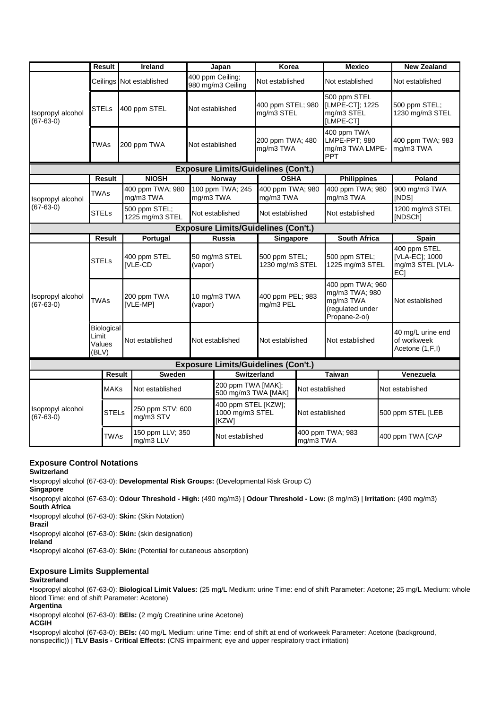|                                  | Result                                     | <b>Ireland</b>                               |           | Japan                                           | Korea                           |                                  | <b>Mexico</b>                                                                        |  | <b>New Zealand</b>                                                   |
|----------------------------------|--------------------------------------------|----------------------------------------------|-----------|-------------------------------------------------|---------------------------------|----------------------------------|--------------------------------------------------------------------------------------|--|----------------------------------------------------------------------|
|                                  |                                            | Ceilings Not established                     |           | 400 ppm Ceiling;<br>980 mg/m3 Ceiling           | Not established                 |                                  | Not established                                                                      |  | Not established                                                      |
| Isopropyl alcohol<br>$(67-63-0)$ | STELs                                      | 400 ppm STEL                                 |           | Not established                                 | 400 ppm STEL; 980<br>mg/m3 STEL |                                  | 500 ppm STEL<br>[LMPE-CT]; 1225<br>mg/m3 STEL<br>[LMPE-CT]                           |  | 500 ppm STEL;<br>1230 mg/m3 STEL                                     |
|                                  | TWAs                                       | 200 ppm TWA                                  |           | Not established                                 | 200 ppm TWA; 480<br>mg/m3 TWA   |                                  | 400 ppm TWA<br>LMPE-PPT; 980<br>mg/m3 TWA LMPE-<br><b>PPT</b>                        |  | 400 ppm TWA; 983<br>mg/m3 TWA                                        |
|                                  |                                            |                                              |           | <b>Exposure Limits/Guidelines (Con't.)</b>      |                                 |                                  |                                                                                      |  |                                                                      |
|                                  | <b>Result</b>                              | <b>NIOSH</b>                                 |           | Norway                                          | <b>OSHA</b>                     |                                  | <b>Philippines</b>                                                                   |  | Poland                                                               |
| Isopropyl alcohol                | <b>TWAs</b>                                | 400 ppm TWA; 980<br>mg/m3 TWA                | mg/m3 TWA | 100 ppm TWA; 245                                | 400 ppm TWA; 980<br>mg/m3 TWA   |                                  | 400 ppm TWA; 980<br>mg/m3 TWA                                                        |  | 900 mg/m3 TWA<br>[NDS]                                               |
| $(67-63-0)$                      | <b>STELs</b>                               | 500 ppm STEL;<br>1225 mg/m3 STEL             |           | Not established                                 |                                 | Not established                  | Not established                                                                      |  | 1200 mg/m3 STEL<br>[NDSCh]                                           |
|                                  | <b>Exposure Limits/Guidelines (Con't.)</b> |                                              |           |                                                 |                                 |                                  |                                                                                      |  |                                                                      |
|                                  | <b>Result</b>                              | Portugal                                     |           | <b>Russia</b><br>Singapore                      |                                 |                                  | <b>South Africa</b>                                                                  |  | <b>Spain</b>                                                         |
| Isopropyl alcohol<br>$(67-63-0)$ | <b>STELs</b>                               | 400 ppm STEL<br><b>VLE-CD</b>                |           | 50 mg/m3 STEL<br>(vapor)                        |                                 | 500 ppm STEL;<br>1230 mg/m3 STEL | 500 ppm STEL;<br>1225 mg/m3 STEL                                                     |  | 400 ppm STEL<br>[VLA-EC]; 1000<br>mg/m3 STEL [VLA-<br>$E\tilde{C}$ ] |
|                                  | <b>TWAs</b>                                | 200 ppm TWA<br>[VLE-MP]                      |           | 10 mg/m3 TWA<br>(vapor)                         | 400 ppm PEL; 983<br>mg/m3 PEL   |                                  | 400 ppm TWA; 960<br>mg/m3 TWA; 980<br>mg/m3 TWA<br>(regulated under<br>Propane-2-ol) |  | Not established                                                      |
|                                  | Biological<br>Limit<br>Values<br>(BLV)     | Not established                              |           | Not established                                 | Not established                 |                                  | Not established                                                                      |  | 40 mg/L urine end<br>of workweek<br>Acetone (1,F,I)                  |
|                                  |                                            |                                              |           | <b>Exposure Limits/Guidelines (Con't.)</b>      |                                 |                                  |                                                                                      |  |                                                                      |
|                                  | <b>Result</b>                              | Sweden                                       |           | Switzerland                                     |                                 |                                  | Taiwan                                                                               |  | Venezuela                                                            |
|                                  | MAKs                                       | Not established                              |           | 200 ppm TWA [MAK];<br>500 mg/m3 TWA [MAK]       | Not established                 |                                  |                                                                                      |  | Not established                                                      |
| Isopropyl alcohol<br>$(67-63-0)$ | <b>STELs</b>                               | 250 ppm STV; 600<br>mg/m3 STV                |           | 400 ppm STEL [KZW];<br>1000 mg/m3 STEL<br>[KZW] |                                 | Not established                  |                                                                                      |  | 500 ppm STEL [LEB                                                    |
|                                  |                                            | 150 ppm LLV; 350<br><b>TWAs</b><br>mg/m3 LLV |           | Not established                                 |                                 | 400 ppm TWA; 983<br>mg/m3 TWA    |                                                                                      |  | 400 ppm TWA [CAP                                                     |

#### **Exposure Control Notations**

**Switzerland**

▪Isopropyl alcohol (67-63-0): **Developmental Risk Groups:** (Developmental Risk Group C) **Singapore**

▪Isopropyl alcohol (67-63-0): **Odour Threshold - High:** (490 mg/m3) | **Odour Threshold - Low:** (8 mg/m3) | **Irritation:** (490 mg/m3) **South Africa**

▪Isopropyl alcohol (67-63-0): **Skin:** (Skin Notation)

**Brazil**

▪Isopropyl alcohol (67-63-0): **Skin:** (skin designation)

**Ireland**

▪Isopropyl alcohol (67-63-0): **Skin:** (Potential for cutaneous absorption)

### **Exposure Limits Supplemental**

#### **Switzerland**

▪Isopropyl alcohol (67-63-0): **Biological Limit Values:** (25 mg/L Medium: urine Time: end of shift Parameter: Acetone; 25 mg/L Medium: whole blood Time: end of shift Parameter: Acetone)

#### **Argentina**

▪Isopropyl alcohol (67-63-0): **BEIs:** (2 mg/g Creatinine urine Acetone)

#### **ACGIH**

▪Isopropyl alcohol (67-63-0): **BEIs:** (40 mg/L Medium: urine Time: end of shift at end of workweek Parameter: Acetone (background, nonspecific)) | **TLV Basis - Critical Effects:** (CNS impairment; eye and upper respiratory tract irritation)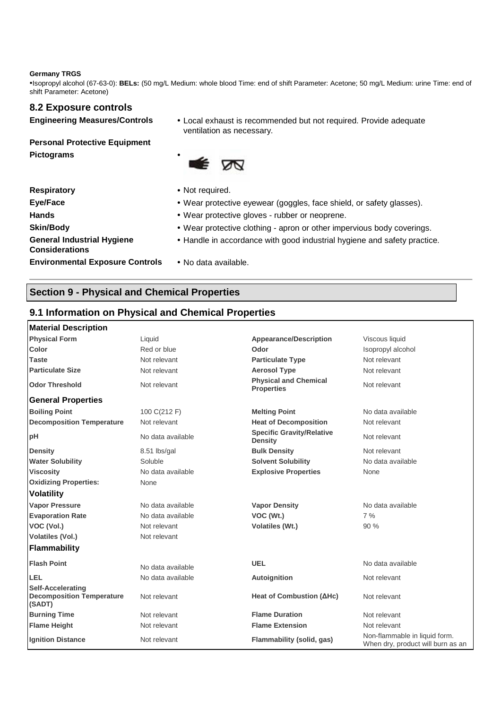#### **Germany TRGS**

▪Isopropyl alcohol (67-63-0): **BELs:** (50 mg/L Medium: whole blood Time: end of shift Parameter: Acetone; 50 mg/L Medium: urine Time: end of shift Parameter: Acetone)

#### **8.2 Exposure controls**

**Personal Protective Equipment** 

**Pictograms** •

**Respiratory** • Not required. **General Industrial Hygiene Considerations** 

**Engineering Measures/Controls** • Local exhaust is recommended but not required. Provide adequate ventilation as necessary.



- 
- **Eye/Face**  Wear protective eyewear (goggles, face shield, or safety glasses).
- **Hands**  Wear protective gloves rubber or neoprene.
- **Skin/Body** Wear protective clothing apron or other impervious body coverings.
	- Handle in accordance with good industrial hygiene and safety practice.
- 
- **Environmental Exposure Controls**  No data available.

# **Section 9 - Physical and Chemical Properties**

# **9.1 Information on Physical and Chemical Properties**

| <b>Physical Form</b>                                            | Liquid            | <b>Appearance/Description</b>                      | Viscous liquid                                                     |
|-----------------------------------------------------------------|-------------------|----------------------------------------------------|--------------------------------------------------------------------|
| <b>Color</b>                                                    | Red or blue       | Odor                                               | Isopropyl alcohol                                                  |
| <b>Taste</b>                                                    | Not relevant      | <b>Particulate Type</b>                            | Not relevant                                                       |
| <b>Particulate Size</b>                                         | Not relevant      | <b>Aerosol Type</b>                                | Not relevant                                                       |
| <b>Odor Threshold</b>                                           | Not relevant      | <b>Physical and Chemical</b><br><b>Properties</b>  | Not relevant                                                       |
| <b>General Properties</b>                                       |                   |                                                    |                                                                    |
| <b>Boiling Point</b>                                            | 100 C(212 F)      | <b>Melting Point</b>                               | No data available                                                  |
| <b>Decomposition Temperature</b>                                | Not relevant      | <b>Heat of Decomposition</b>                       | Not relevant                                                       |
| pH                                                              | No data available | <b>Specific Gravity/Relative</b><br><b>Density</b> | Not relevant                                                       |
| <b>Density</b>                                                  | 8.51 lbs/gal      | <b>Bulk Density</b>                                | Not relevant                                                       |
| <b>Water Solubility</b>                                         | Soluble           | <b>Solvent Solubility</b>                          | No data available                                                  |
| <b>Viscosity</b>                                                | No data available | <b>Explosive Properties</b>                        | None                                                               |
| <b>Oxidizing Properties:</b>                                    | None              |                                                    |                                                                    |
| <b>Volatility</b>                                               |                   |                                                    |                                                                    |
| <b>Vapor Pressure</b>                                           | No data available | <b>Vapor Density</b>                               | No data available                                                  |
| <b>Evaporation Rate</b>                                         | No data available | VOC (Wt.)                                          | 7%                                                                 |
| VOC (Vol.)                                                      | Not relevant      | <b>Volatiles (Wt.)</b>                             | 90 %                                                               |
| <b>Volatiles (Vol.)</b>                                         | Not relevant      |                                                    |                                                                    |
| Flammability                                                    |                   |                                                    |                                                                    |
| <b>Flash Point</b>                                              | No data available | <b>UEL</b>                                         | No data available                                                  |
| LEL                                                             | No data available | Autoignition                                       | Not relevant                                                       |
| Self-Accelerating<br><b>Decomposition Temperature</b><br>(SADT) | Not relevant      | Heat of Combustion (AHc)                           | Not relevant                                                       |
| <b>Burning Time</b>                                             | Not relevant      | <b>Flame Duration</b>                              | Not relevant                                                       |
| <b>Flame Height</b>                                             | Not relevant      | <b>Flame Extension</b>                             | Not relevant                                                       |
| <b>Ignition Distance</b>                                        | Not relevant      | Flammability (solid, gas)                          | Non-flammable in liquid form.<br>When dry, product will burn as an |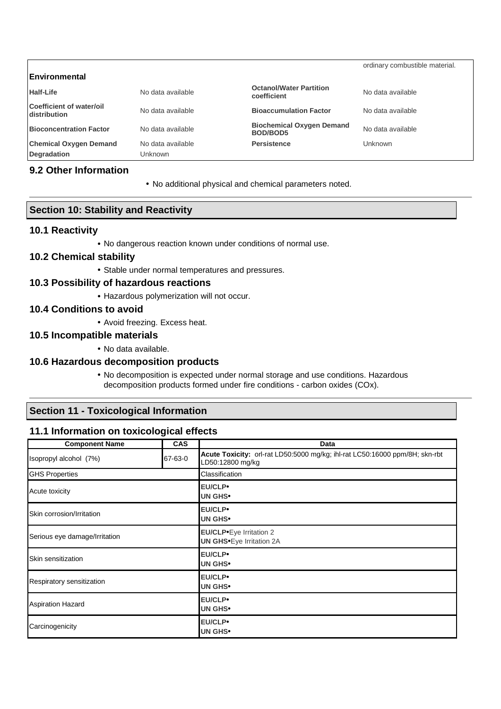|                   |                                               | ordinary combustible material. |
|-------------------|-----------------------------------------------|--------------------------------|
|                   |                                               |                                |
| No data available | <b>Octanol/Water Partition</b><br>coefficient | No data available              |
| No data available | <b>Bioaccumulation Factor</b>                 | No data available              |
| No data available | <b>Biochemical Oxygen Demand</b><br>BOD/BOD5  | No data available              |
| No data available | <b>Persistence</b>                            | Unknown                        |
| Unknown           |                                               |                                |
|                   |                                               |                                |

# **9.2 Other Information**

• No additional physical and chemical parameters noted.

# **Section 10: Stability and Reactivity**

#### **10.1 Reactivity**

• No dangerous reaction known under conditions of normal use.

#### **10.2 Chemical stability**

• Stable under normal temperatures and pressures.

#### **10.3 Possibility of hazardous reactions**

• Hazardous polymerization will not occur.

# **10.4 Conditions to avoid**

• Avoid freezing. Excess heat.

#### **10.5 Incompatible materials**

• No data available.

# **10.6 Hazardous decomposition products**

• No decomposition is expected under normal storage and use conditions. Hazardous decomposition products formed under fire conditions - carbon oxides (COx).

## **Section 11 - Toxicological Information**

### **11.1 Information on toxicological effects**

| <b>Component Name</b>         | <b>CAS</b> | Data                                                                                            |  |  |
|-------------------------------|------------|-------------------------------------------------------------------------------------------------|--|--|
| Isopropyl alcohol (7%)        | 67-63-0    | Acute Toxicity: orl-rat LD50:5000 mg/kg; ihl-rat LC50:16000 ppm/8H; skn-rbt<br>LD50:12800 mg/kg |  |  |
| <b>GHS Properties</b>         |            | Classification                                                                                  |  |  |
| Acute toxicity                |            | <b>EU/CLP•</b><br><b>UN GHS•</b>                                                                |  |  |
| Skin corrosion/Irritation     |            | <b>EU/CLP•</b><br>UN GHS <sup>.</sup>                                                           |  |  |
| Serious eye damage/Irritation |            | <b>EU/CLP</b> •Eye Irritation 2<br><b>UN GHS</b> <sup>•</sup> Eye Irritation 2A                 |  |  |
| Skin sensitization            |            | <b>EU/CLP•</b><br>UN GHS <sup>.</sup>                                                           |  |  |
| Respiratory sensitization     |            | <b>EU/CLP•</b><br>UN GHS <sup>.</sup>                                                           |  |  |
| <b>Aspiration Hazard</b>      |            | <b>EU/CLP•</b><br>UN GHS <sup>.</sup>                                                           |  |  |
| Carcinogenicity               |            | <b>EU/CLP</b> •<br>UN GHS <sup>.</sup>                                                          |  |  |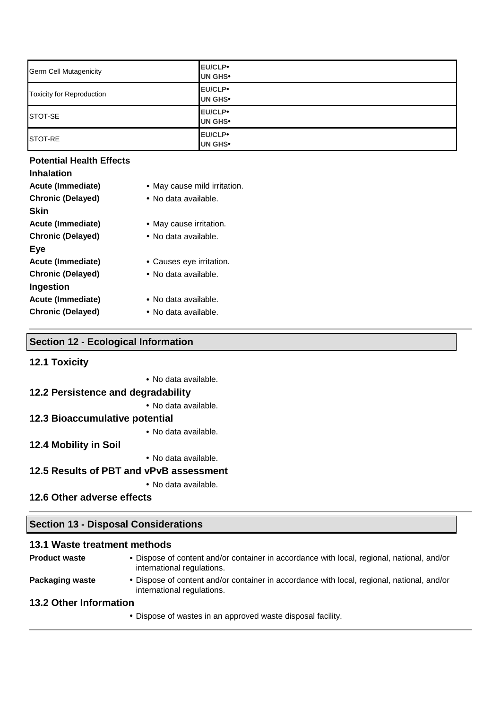| Germ Cell Mutagenicity    | <b>EU/CLP</b><br><b>UN GHS•</b>      |
|---------------------------|--------------------------------------|
| Toxicity for Reproduction | <b>EU/CLP</b><br><b>UN GHS•</b>      |
| STOT-SE                   | <b>EU/CLP</b><br>UN GHS <sup>.</sup> |
| STOT-RE                   | <b>EU/CLP</b><br><b>UN GHS•</b>      |

#### **Potential Health Effects Inhalation**

| Acute (Immediate)        | • May cause mild irritation. |
|--------------------------|------------------------------|
| <b>Chronic (Delayed)</b> | • No data available.         |
| Skin                     |                              |
| <b>Acute (Immediate)</b> | • May cause irritation.      |
| <b>Chronic (Delayed)</b> | • No data available.         |
| Eye                      |                              |
| <b>Acute (Immediate)</b> | • Causes eye irritation.     |
| <b>Chronic (Delayed)</b> | • No data available.         |
| Ingestion                |                              |
| Acute (Immediate)        | • No data available.         |
| <b>Chronic (Delayed)</b> | • No data available.         |

# **Section 12 - Ecological Information**

### **12.1 Toxicity**

|                                    |  | • No data available. |  |
|------------------------------------|--|----------------------|--|
| 12.2 Persistence and degradability |  |                      |  |

• No data available.

### **12.3 Bioaccumulative potential**

- No data available.
- **12.4 Mobility in Soil**
- No data available.

# **12.5 Results of PBT and vPvB assessment**

• No data available.

# **12.6 Other adverse effects**

### **Section 13 - Disposal Considerations**

#### **13.1 Waste treatment methods**

**Product waste** • Dispose of content and/or container in accordance with local, regional, national, and/or international regulations. **Packaging waste** • Dispose of content and/or container in accordance with local, regional, national, and/or international regulations.

### **13.2 Other Information**

• Dispose of wastes in an approved waste disposal facility.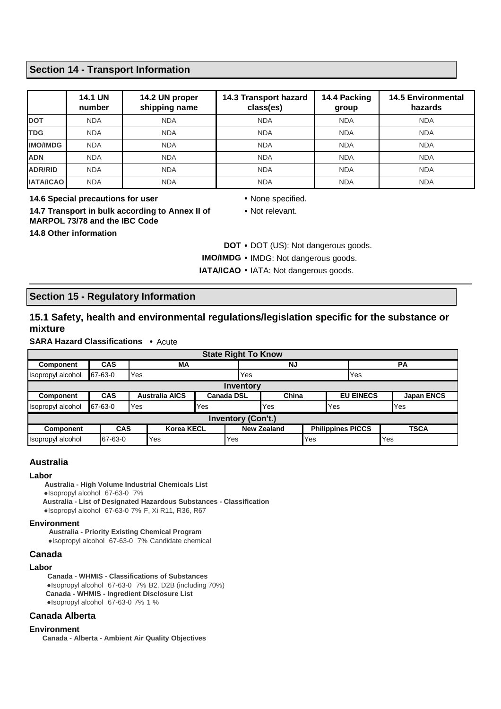# **Section 14 - Transport Information**

|                  | <b>14.1 UN</b><br>number | 14.2 UN proper<br>shipping name | 14.3 Transport hazard<br>class(es) | 14.4 Packing<br>group | <b>14.5 Environmental</b><br>hazards |  |
|------------------|--------------------------|---------------------------------|------------------------------------|-----------------------|--------------------------------------|--|
| <b>DOT</b>       | <b>NDA</b>               | <b>NDA</b>                      | <b>NDA</b>                         | <b>NDA</b>            | <b>NDA</b>                           |  |
| <b>TDG</b>       | <b>NDA</b>               | <b>NDA</b>                      | <b>NDA</b>                         | <b>NDA</b>            | <b>NDA</b>                           |  |
| <b>IMO/IMDG</b>  | <b>NDA</b>               | <b>NDA</b>                      | <b>NDA</b>                         | <b>NDA</b>            | <b>NDA</b>                           |  |
| <b>ADN</b>       | <b>NDA</b>               | <b>NDA</b>                      | <b>NDA</b>                         | <b>NDA</b>            | <b>NDA</b>                           |  |
| <b>ADR/RID</b>   | <b>NDA</b>               | <b>NDA</b>                      | <b>NDA</b>                         | <b>NDA</b>            | <b>NDA</b>                           |  |
| <b>IATA/ICAO</b> | <b>NDA</b>               | <b>NDA</b>                      | <b>NDA</b>                         | <b>NDA</b>            | <b>NDA</b>                           |  |

**14.6 Special precautions for user** • None specified.

**14.7 Transport in bulk according to Annex II of MARPOL 73/78 and the IBC Code** 

**14.8 Other information** 

• Not relevant.

**DOT** • DOT (US): Not dangerous goods.

**IMO/IMDG** • IMDG: Not dangerous goods.

**IATA/ICAO** • IATA: Not dangerous goods.

#### **Section 15 - Regulatory Information**

### **15.1 Safety, health and environmental regulations/legislation specific for the substance or mixture**

#### **SARA Hazard Classifications** • Acute

| <b>State Right To Know</b> |            |            |                       |  |                            |                    |                  |                          |     |                   |             |
|----------------------------|------------|------------|-----------------------|--|----------------------------|--------------------|------------------|--------------------------|-----|-------------------|-------------|
| Component                  | <b>CAS</b> |            | МA                    |  |                            |                    | <b>NJ</b>        |                          |     | <b>PA</b>         |             |
| Isopropyl alcohol          | 67-63-0    |            | Yes                   |  |                            | Yes                |                  |                          |     | Yes               |             |
| Inventory                  |            |            |                       |  |                            |                    |                  |                          |     |                   |             |
| Component                  | <b>CAS</b> |            | <b>Australia AICS</b> |  | China<br><b>Canada DSL</b> |                    | <b>EU EINECS</b> |                          |     | <b>Japan ENCS</b> |             |
| Isopropyl alcohol          | 67-63-0    |            | Yes<br>Yes            |  |                            |                    | Yes              |                          | Yes |                   | Yes         |
| <b>Inventory (Con't.)</b>  |            |            |                       |  |                            |                    |                  |                          |     |                   |             |
| Component                  |            | <b>CAS</b> | <b>Korea KECL</b>     |  |                            | <b>New Zealand</b> |                  | <b>Philippines PICCS</b> |     |                   | <b>TSCA</b> |
| Isopropyl alcohol          |            | 67-63-0    | <b>Yes</b>            |  |                            | Yes                | Yes              |                          | Yes |                   |             |

#### **Australia**

#### **Labor**

**Australia - High Volume Industrial Chemicals List**

●Isopropyl alcohol 67-63-0 7%

**Australia - List of Designated Hazardous Substances - Classification**  $\bullet$ Isopropyl alcohol 67-63-0 7% F, Xi R11, R36, R67

#### **Environment**

**Australia - Priority Existing Chemical Program**

●Isopropyl alcohol 67-63-0 7% Candidate chemical

#### **Canada**

#### **Labor**

**Canada - WHMIS - Classifications of Substances** ●Isopropyl alcohol 67-63-0 7% B2, D2B (including 70%)

**Canada - WHMIS - Ingredient Disclosure List**

●Isopropyl alcohol 67-63-0 7% 1 %

#### **Canada Alberta**

#### **Environment**

**Canada - Alberta - Ambient Air Quality Objectives**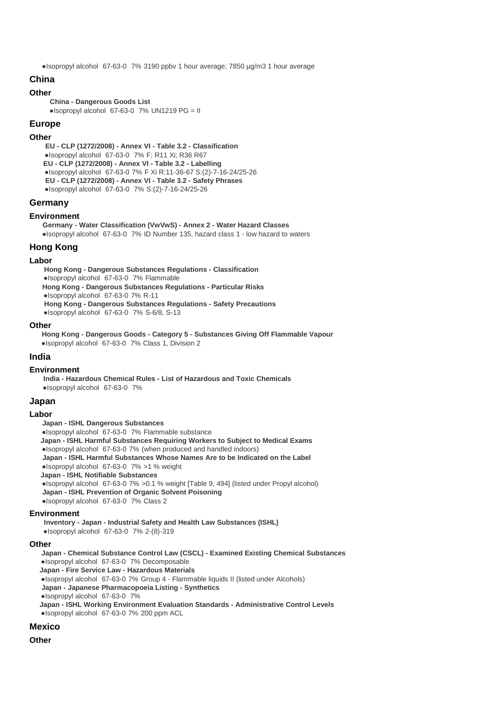●Isopropyl alcohol 67-63-0 7% 3190 ppbv 1 hour average; 7850 µg/m3 1 hour average

#### **China**

#### **Other**

**China - Dangerous Goods List**  $\bullet$ Isopropyl alcohol 67-63-0 7% UN1219 PG = II

#### **Europe**

#### **Other**

**EU - CLP (1272/2008) - Annex VI - Table 3.2 - Classification** ●Isopropyl alcohol 67-63-0 7% F; R11 Xi; R36 R67 **EU - CLP (1272/2008) - Annex VI - Table 3.2 - Labelling** ●Isopropyl alcohol 67-63-0 7% F Xi R:11-36-67 S:(2)-7-16-24/25-26 **EU - CLP (1272/2008) - Annex VI - Table 3.2 - Safety Phrases** ●Isopropyl alcohol 67-63-0 7% S:(2)-7-16-24/25-26

#### **Germany**

#### **Environment**

**Germany - Water Classification (VwVwS) - Annex 2 - Water Hazard Classes** ●Isopropyl alcohol 67-63-0 7% ID Number 135, hazard class 1 - low hazard to waters

#### **Hong Kong**

#### **Labor**

**Hong Kong - Dangerous Substances Regulations - Classification** ●Isopropyl alcohol 67-63-0 7% Flammable **Hong Kong - Dangerous Substances Regulations - Particular Risks** ●Isopropyl alcohol 67-63-0 7% R-11 **Hong Kong - Dangerous Substances Regulations - Safety Precautions** ●Isopropyl alcohol 67-63-0 7% S-6/8, S-13

#### **Other**

**Hong Kong - Dangerous Goods - Category 5 - Substances Giving Off Flammable Vapour** ●Isopropyl alcohol 67-63-0 7% Class 1, Division 2

#### **India**

#### **Environment**

**India - Hazardous Chemical Rules - List of Hazardous and Toxic Chemicals** ●Isopropyl alcohol 67-63-0 7%

#### **Japan**

#### **Labor**

**Japan - ISHL Dangerous Substances** ●Isopropyl alcohol 67-63-0 7% Flammable substance **Japan - ISHL Harmful Substances Requiring Workers to Subject to Medical Exams** ●Isopropyl alcohol 67-63-0 7% (when produced and handled indoors) **Japan - ISHL Harmful Substances Whose Names Are to be Indicated on the Label** ●Isopropyl alcohol 67-63-0 7% >1 % weight **Japan - ISHL Notifiable Substances** ●Isopropyl alcohol 67-63-0 7% >0.1 % weight [Table 9, 494] (listed under Propyl alcohol)

- **Japan - ISHL Prevention of Organic Solvent Poisoning**
- ●Isopropyl alcohol 67-63-0 7% Class 2

#### **Environment**

**Inventory - Japan - Industrial Safety and Health Law Substances (ISHL)** ●Isopropyl alcohol 67-63-0 7% 2-(8)-319

#### **Other**

**Japan - Chemical Substance Control Law (CSCL) - Examined Existing Chemical Substances** ●Isopropyl alcohol 67-63-0 7% Decomposable **Japan - Fire Service Law - Hazardous Materials** ●Isopropyl alcohol 67-63-0 7% Group 4 - Flammable liquids II (listed under Alcohols) **Japan - Japanese Pharmacopoeia Listing - Synthetics** ●Isopropyl alcohol 67-63-0 7% **Japan - ISHL Working Environment Evaluation Standards - Administrative Control Levels** ●Isopropyl alcohol 67-63-0 7% 200 ppm ACL

# **Mexico**

**Other**